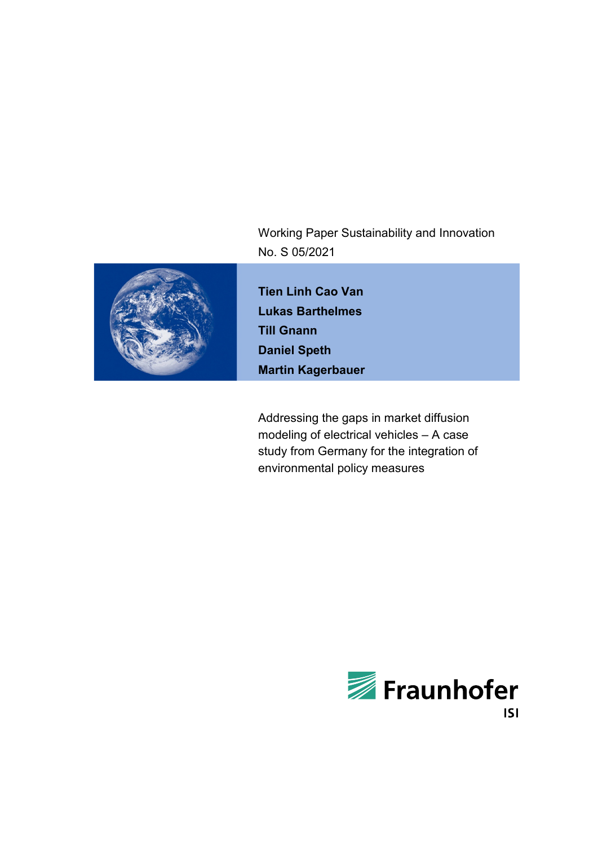Working Paper Sustainability and Innovation No. S 05/2021



**Tien Linh Cao Van Lukas Barthelmes Till Gnann Daniel Speth Martin Kagerbauer**

Addressing the gaps in market diffusion modeling of electrical vehicles – A case study from Germany for the integration of environmental policy measures

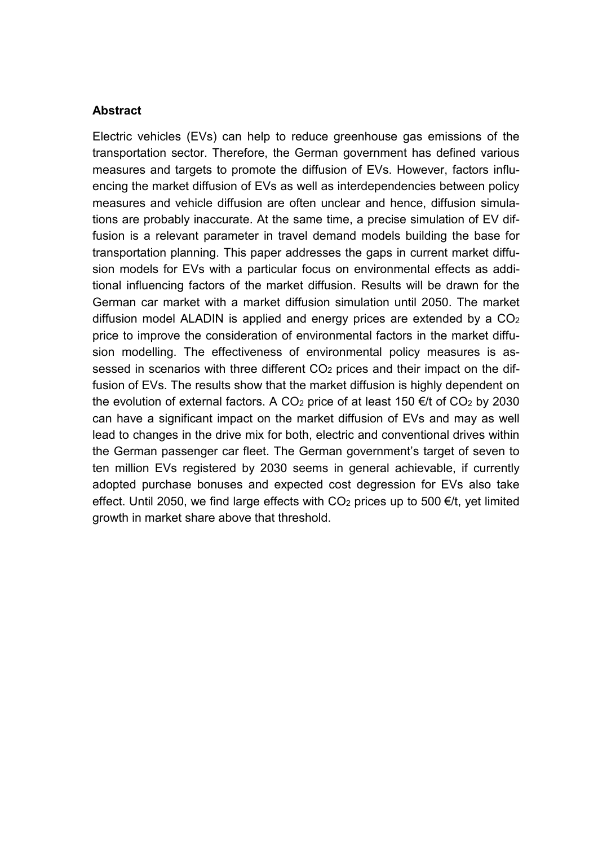#### **Abstract**

Electric vehicles (EVs) can help to reduce greenhouse gas emissions of the transportation sector. Therefore, the German government has defined various measures and targets to promote the diffusion of EVs. However, factors influencing the market diffusion of EVs as well as interdependencies between policy measures and vehicle diffusion are often unclear and hence, diffusion simulations are probably inaccurate. At the same time, a precise simulation of EV diffusion is a relevant parameter in travel demand models building the base for transportation planning. This paper addresses the gaps in current market diffusion models for EVs with a particular focus on environmental effects as additional influencing factors of the market diffusion. Results will be drawn for the German car market with a market diffusion simulation until 2050. The market diffusion model ALADIN is applied and energy prices are extended by a CO2 price to improve the consideration of environmental factors in the market diffusion modelling. The effectiveness of environmental policy measures is assessed in scenarios with three different CO<sub>2</sub> prices and their impact on the diffusion of EVs. The results show that the market diffusion is highly dependent on the evolution of external factors. A CO<sub>2</sub> price of at least 150  $\epsilon/t$  of CO<sub>2</sub> by 2030 can have a significant impact on the market diffusion of EVs and may as well lead to changes in the drive mix for both, electric and conventional drives within the German passenger car fleet. The German government's target of seven to ten million EVs registered by 2030 seems in general achievable, if currently adopted purchase bonuses and expected cost degression for EVs also take effect. Until 2050, we find large effects with  $CO<sub>2</sub>$  prices up to 500  $\epsilon/t$ , yet limited growth in market share above that threshold.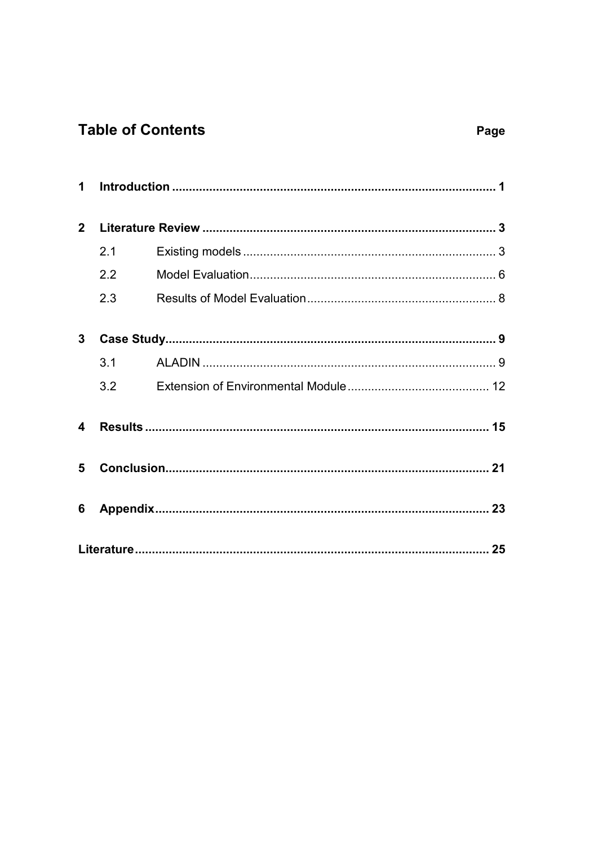# **Table of Contents**

# Page

| 2 <sup>1</sup> |     |  |  |  |  |  |  |  |
|----------------|-----|--|--|--|--|--|--|--|
|                | 2.1 |  |  |  |  |  |  |  |
|                | 2.2 |  |  |  |  |  |  |  |
|                | 2.3 |  |  |  |  |  |  |  |
|                |     |  |  |  |  |  |  |  |
| 3 <sup>1</sup> |     |  |  |  |  |  |  |  |
|                | 3.1 |  |  |  |  |  |  |  |
|                | 3.2 |  |  |  |  |  |  |  |
| 4              |     |  |  |  |  |  |  |  |
| 5              |     |  |  |  |  |  |  |  |
| 6              |     |  |  |  |  |  |  |  |
|                |     |  |  |  |  |  |  |  |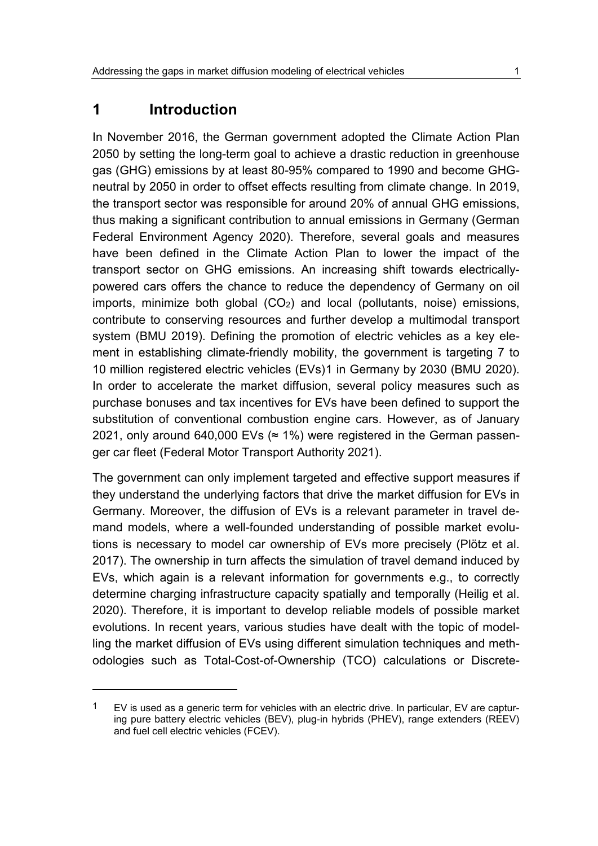## <span id="page-4-0"></span>**1 Introduction**

 $\overline{a}$ 

In November 2016, the German government adopted the Climate Action Plan 2050 by setting the long-term goal to achieve a drastic reduction in greenhouse gas (GHG) emissions by at least 80-95% compared to 1990 and become GHGneutral by 2050 in order to offset effects resulting from climate change. In 2019, the transport sector was responsible for around 20% of annual GHG emissions, thus making a significant contribution to annual emissions in Germany (German Federal Environment Agency 2020). Therefore, several goals and measures have been defined in the Climate Action Plan to lower the impact of the transport sector on GHG emissions. An increasing shift towards electricallypowered cars offers the chance to reduce the dependency of Germany on oil imports, minimize both global  $(CO<sub>2</sub>)$  and local (pollutants, noise) emissions, contribute to conserving resources and further develop a multimodal transport system (BMU 2019). Defining the promotion of electric vehicles as a key element in establishing climate-friendly mobility, the government is targeting 7 to 10 million registered electric vehicles (EVs)[1](#page-4-1) in Germany by 2030 (BMU 2020). In order to accelerate the market diffusion, several policy measures such as purchase bonuses and tax incentives for EVs have been defined to support the substitution of conventional combustion engine cars. However, as of January 2021, only around 640,000 EVs ( $\approx$  1%) were registered in the German passenger car fleet (Federal Motor Transport Authority 2021).

The government can only implement targeted and effective support measures if they understand the underlying factors that drive the market diffusion for EVs in Germany. Moreover, the diffusion of EVs is a relevant parameter in travel demand models, where a well-founded understanding of possible market evolutions is necessary to model car ownership of EVs more precisely (Plötz et al. 2017). The ownership in turn affects the simulation of travel demand induced by EVs, which again is a relevant information for governments e.g., to correctly determine charging infrastructure capacity spatially and temporally (Heilig et al. 2020). Therefore, it is important to develop reliable models of possible market evolutions. In recent years, various studies have dealt with the topic of modelling the market diffusion of EVs using different simulation techniques and methodologies such as Total-Cost-of-Ownership (TCO) calculations or Discrete-

<span id="page-4-1"></span><sup>1</sup> EV is used as a generic term for vehicles with an electric drive. In particular, EV are capturing pure battery electric vehicles (BEV), plug-in hybrids (PHEV), range extenders (REEV) and fuel cell electric vehicles (FCEV).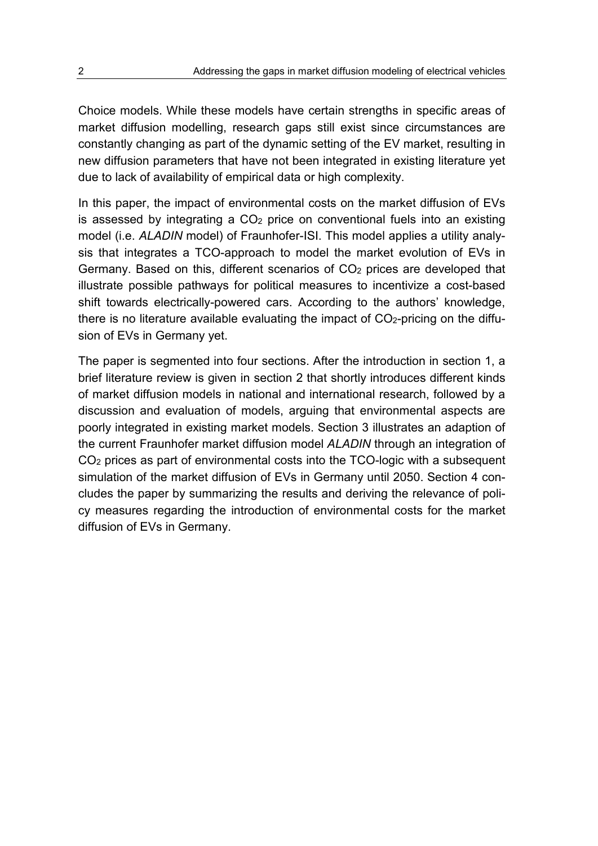Choice models. While these models have certain strengths in specific areas of market diffusion modelling, research gaps still exist since circumstances are constantly changing as part of the dynamic setting of the EV market, resulting in new diffusion parameters that have not been integrated in existing literature yet due to lack of availability of empirical data or high complexity.

In this paper, the impact of environmental costs on the market diffusion of EVs is assessed by integrating a  $CO<sub>2</sub>$  price on conventional fuels into an existing model (i.e. *ALADIN* model) of Fraunhofer-ISI. This model applies a utility analysis that integrates a TCO-approach to model the market evolution of EVs in Germany. Based on this, different scenarios of CO2 prices are developed that illustrate possible pathways for political measures to incentivize a cost-based shift towards electrically-powered cars. According to the authors' knowledge, there is no literature available evaluating the impact of  $CO<sub>2</sub>$ -pricing on the diffusion of EVs in Germany yet.

The paper is segmented into four sections. After the introduction in section 1, a brief literature review is given in section 2 that shortly introduces different kinds of market diffusion models in national and international research, followed by a discussion and evaluation of models, arguing that environmental aspects are poorly integrated in existing market models. Section 3 illustrates an adaption of the current Fraunhofer market diffusion model *ALADIN* through an integration of CO2 prices as part of environmental costs into the TCO-logic with a subsequent simulation of the market diffusion of EVs in Germany until 2050. Section 4 concludes the paper by summarizing the results and deriving the relevance of policy measures regarding the introduction of environmental costs for the market diffusion of EVs in Germany.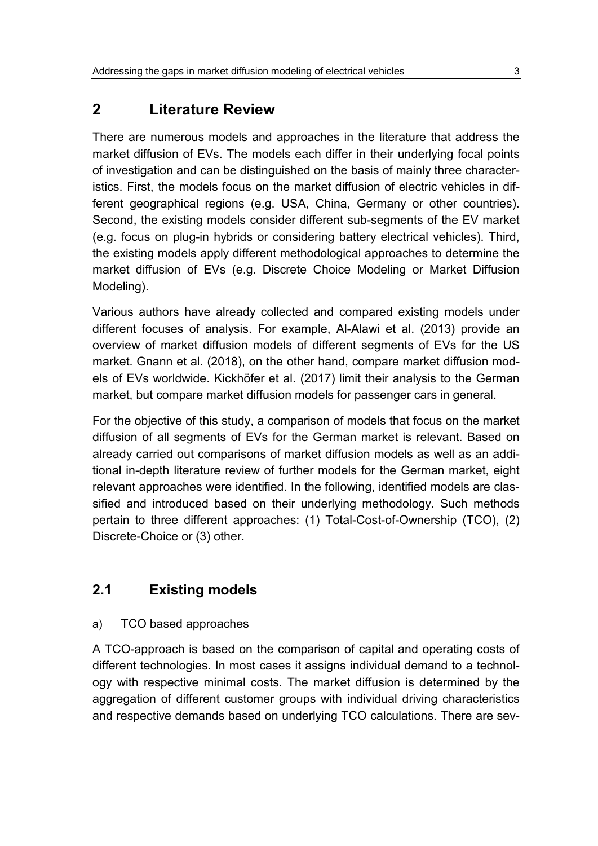# <span id="page-6-0"></span>**2 Literature Review**

There are numerous models and approaches in the literature that address the market diffusion of EVs. The models each differ in their underlying focal points of investigation and can be distinguished on the basis of mainly three characteristics. First, the models focus on the market diffusion of electric vehicles in different geographical regions (e.g. USA, China, Germany or other countries). Second, the existing models consider different sub-segments of the EV market (e.g. focus on plug-in hybrids or considering battery electrical vehicles). Third, the existing models apply different methodological approaches to determine the market diffusion of EVs (e.g. Discrete Choice Modeling or Market Diffusion Modeling).

Various authors have already collected and compared existing models under different focuses of analysis. For example, Al-Alawi et al. (2013) provide an overview of market diffusion models of different segments of EVs for the US market. Gnann et al. (2018), on the other hand, compare market diffusion models of EVs worldwide. Kickhöfer et al. (2017) limit their analysis to the German market, but compare market diffusion models for passenger cars in general.

For the objective of this study, a comparison of models that focus on the market diffusion of all segments of EVs for the German market is relevant. Based on already carried out comparisons of market diffusion models as well as an additional in-depth literature review of further models for the German market, eight relevant approaches were identified. In the following, identified models are classified and introduced based on their underlying methodology. Such methods pertain to three different approaches: (1) Total-Cost-of-Ownership (TCO), (2) Discrete-Choice or (3) other.

## <span id="page-6-1"></span>**2.1 Existing models**

## a) TCO based approaches

A TCO-approach is based on the comparison of capital and operating costs of different technologies. In most cases it assigns individual demand to a technology with respective minimal costs. The market diffusion is determined by the aggregation of different customer groups with individual driving characteristics and respective demands based on underlying TCO calculations. There are sev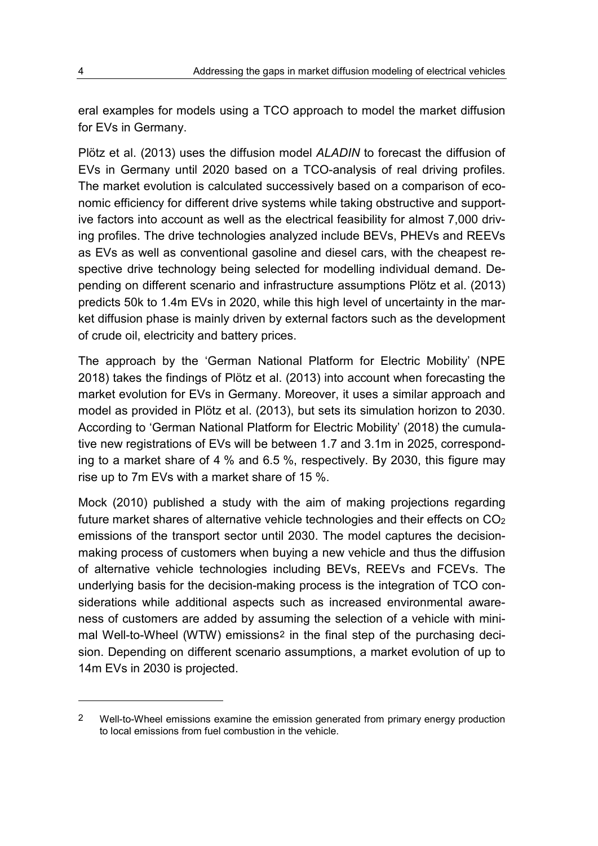eral examples for models using a TCO approach to model the market diffusion for EVs in Germany.

Plötz et al. (2013) uses the diffusion model *ALADIN* to forecast the diffusion of EVs in Germany until 2020 based on a TCO-analysis of real driving profiles. The market evolution is calculated successively based on a comparison of economic efficiency for different drive systems while taking obstructive and supportive factors into account as well as the electrical feasibility for almost 7,000 driving profiles. The drive technologies analyzed include BEVs, PHEVs and REEVs as EVs as well as conventional gasoline and diesel cars, with the cheapest respective drive technology being selected for modelling individual demand. Depending on different scenario and infrastructure assumptions Plötz et al. (2013) predicts 50k to 1.4m EVs in 2020, while this high level of uncertainty in the market diffusion phase is mainly driven by external factors such as the development of crude oil, electricity and battery prices.

The approach by the 'German National Platform for Electric Mobility' (NPE 2018) takes the findings of Plötz et al. (2013) into account when forecasting the market evolution for EVs in Germany. Moreover, it uses a similar approach and model as provided in Plötz et al. (2013), but sets its simulation horizon to 2030. According to 'German National Platform for Electric Mobility' (2018) the cumulative new registrations of EVs will be between 1.7 and 3.1m in 2025, corresponding to a market share of 4 % and 6.5 %, respectively. By 2030, this figure may rise up to 7m EVs with a market share of 15 %.

Mock (2010) published a study with the aim of making projections regarding future market shares of alternative vehicle technologies and their effects on CO2 emissions of the transport sector until 2030. The model captures the decisionmaking process of customers when buying a new vehicle and thus the diffusion of alternative vehicle technologies including BEVs, REEVs and FCEVs. The underlying basis for the decision-making process is the integration of TCO considerations while additional aspects such as increased environmental awareness of customers are added by assuming the selection of a vehicle with minimal Well-to-Wheel (WTW) emissions[2](#page-7-0) in the final step of the purchasing decision. Depending on different scenario assumptions, a market evolution of up to 14m EVs in 2030 is projected.

-

<span id="page-7-0"></span><sup>2</sup> Well-to-Wheel emissions examine the emission generated from primary energy production to local emissions from fuel combustion in the vehicle.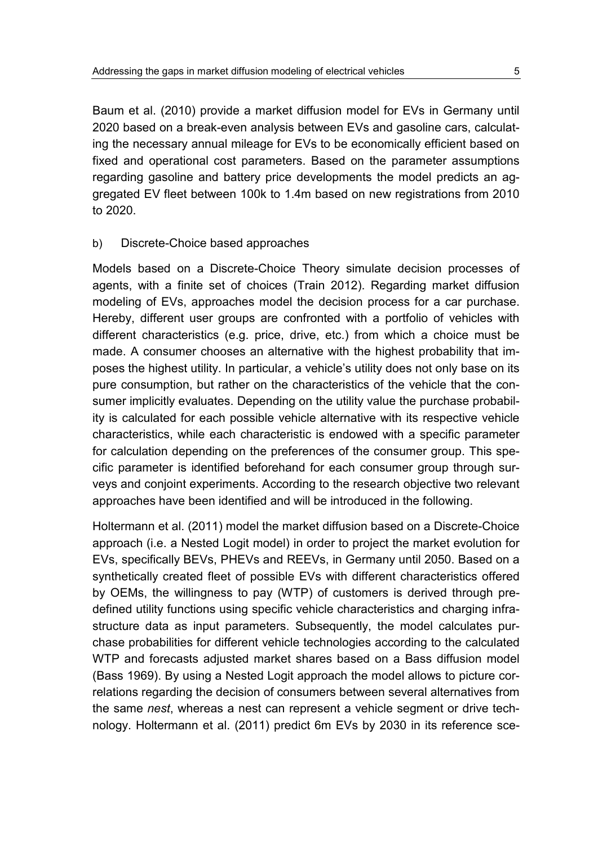Baum et al. (2010) provide a market diffusion model for EVs in Germany until 2020 based on a break-even analysis between EVs and gasoline cars, calculating the necessary annual mileage for EVs to be economically efficient based on fixed and operational cost parameters. Based on the parameter assumptions regarding gasoline and battery price developments the model predicts an aggregated EV fleet between 100k to 1.4m based on new registrations from 2010 to 2020.

#### b) Discrete-Choice based approaches

Models based on a Discrete-Choice Theory simulate decision processes of agents, with a finite set of choices (Train 2012). Regarding market diffusion modeling of EVs, approaches model the decision process for a car purchase. Hereby, different user groups are confronted with a portfolio of vehicles with different characteristics (e.g. price, drive, etc.) from which a choice must be made. A consumer chooses an alternative with the highest probability that imposes the highest utility. In particular, a vehicle's utility does not only base on its pure consumption, but rather on the characteristics of the vehicle that the consumer implicitly evaluates. Depending on the utility value the purchase probability is calculated for each possible vehicle alternative with its respective vehicle characteristics, while each characteristic is endowed with a specific parameter for calculation depending on the preferences of the consumer group. This specific parameter is identified beforehand for each consumer group through surveys and conjoint experiments. According to the research objective two relevant approaches have been identified and will be introduced in the following.

Holtermann et al. (2011) model the market diffusion based on a Discrete-Choice approach (i.e. a Nested Logit model) in order to project the market evolution for EVs, specifically BEVs, PHEVs and REEVs, in Germany until 2050. Based on a synthetically created fleet of possible EVs with different characteristics offered by OEMs, the willingness to pay (WTP) of customers is derived through predefined utility functions using specific vehicle characteristics and charging infrastructure data as input parameters. Subsequently, the model calculates purchase probabilities for different vehicle technologies according to the calculated WTP and forecasts adjusted market shares based on a Bass diffusion model (Bass 1969). By using a Nested Logit approach the model allows to picture correlations regarding the decision of consumers between several alternatives from the same *nest*, whereas a nest can represent a vehicle segment or drive technology. Holtermann et al. (2011) predict 6m EVs by 2030 in its reference sce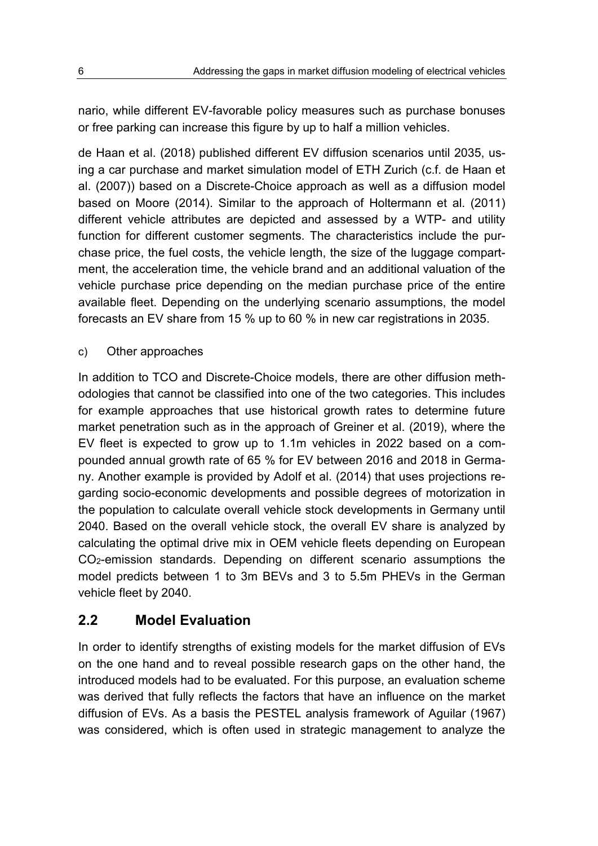nario, while different EV-favorable policy measures such as purchase bonuses or free parking can increase this figure by up to half a million vehicles.

de Haan et al. (2018) published different EV diffusion scenarios until 2035, using a car purchase and market simulation model of ETH Zurich (c.f. de Haan et al. (2007)) based on a Discrete-Choice approach as well as a diffusion model based on Moore (2014). Similar to the approach of Holtermann et al. (2011) different vehicle attributes are depicted and assessed by a WTP- and utility function for different customer segments. The characteristics include the purchase price, the fuel costs, the vehicle length, the size of the luggage compartment, the acceleration time, the vehicle brand and an additional valuation of the vehicle purchase price depending on the median purchase price of the entire available fleet. Depending on the underlying scenario assumptions, the model forecasts an EV share from 15 % up to 60 % in new car registrations in 2035.

c) Other approaches

In addition to TCO and Discrete-Choice models, there are other diffusion methodologies that cannot be classified into one of the two categories. This includes for example approaches that use historical growth rates to determine future market penetration such as in the approach of Greiner et al. (2019), where the EV fleet is expected to grow up to 1.1m vehicles in 2022 based on a compounded annual growth rate of 65 % for EV between 2016 and 2018 in Germany. Another example is provided by Adolf et al. (2014) that uses projections regarding socio-economic developments and possible degrees of motorization in the population to calculate overall vehicle stock developments in Germany until 2040. Based on the overall vehicle stock, the overall EV share is analyzed by calculating the optimal drive mix in OEM vehicle fleets depending on European CO2-emission standards. Depending on different scenario assumptions the model predicts between 1 to 3m BEVs and 3 to 5.5m PHEVs in the German vehicle fleet by 2040.

## <span id="page-9-0"></span>**2.2 Model Evaluation**

In order to identify strengths of existing models for the market diffusion of EVs on the one hand and to reveal possible research gaps on the other hand, the introduced models had to be evaluated. For this purpose, an evaluation scheme was derived that fully reflects the factors that have an influence on the market diffusion of EVs. As a basis the PESTEL analysis framework of Aguilar (1967) was considered, which is often used in strategic management to analyze the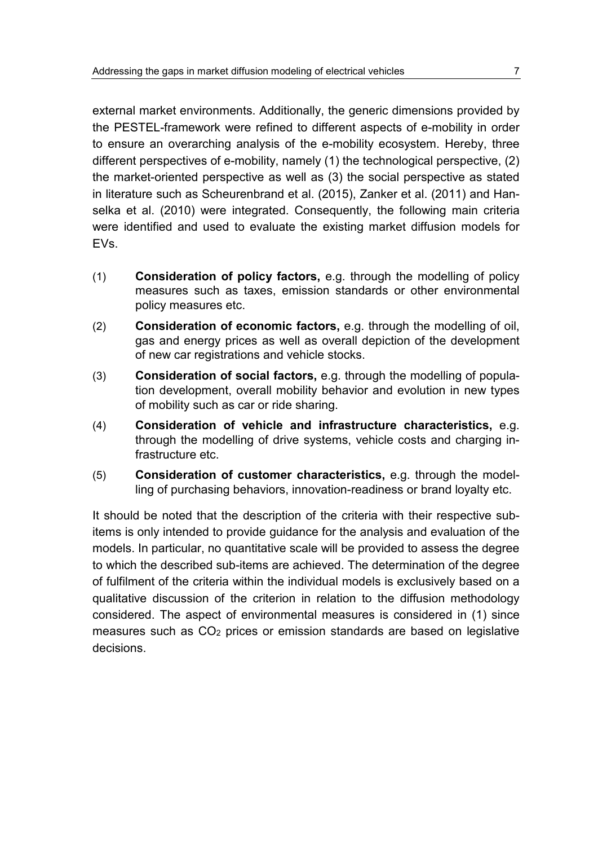external market environments. Additionally, the generic dimensions provided by the PESTEL-framework were refined to different aspects of e-mobility in order to ensure an overarching analysis of the e-mobility ecosystem. Hereby, three different perspectives of e-mobility, namely (1) the technological perspective, (2) the market-oriented perspective as well as (3) the social perspective as stated in literature such as Scheurenbrand et al. (2015), Zanker et al. (2011) and Hanselka et al. (2010) were integrated. Consequently, the following main criteria were identified and used to evaluate the existing market diffusion models for EVs.

- (1) **Consideration of policy factors,** e.g. through the modelling of policy measures such as taxes, emission standards or other environmental policy measures etc.
- (2) **Consideration of economic factors,** e.g. through the modelling of oil, gas and energy prices as well as overall depiction of the development of new car registrations and vehicle stocks.
- (3) **Consideration of social factors,** e.g. through the modelling of population development, overall mobility behavior and evolution in new types of mobility such as car or ride sharing.
- (4) **Consideration of vehicle and infrastructure characteristics,** e.g. through the modelling of drive systems, vehicle costs and charging infrastructure etc.
- (5) **Consideration of customer characteristics,** e.g. through the modelling of purchasing behaviors, innovation-readiness or brand loyalty etc.

It should be noted that the description of the criteria with their respective subitems is only intended to provide guidance for the analysis and evaluation of the models. In particular, no quantitative scale will be provided to assess the degree to which the described sub-items are achieved. The determination of the degree of fulfilment of the criteria within the individual models is exclusively based on a qualitative discussion of the criterion in relation to the diffusion methodology considered. The aspect of environmental measures is considered in (1) since measures such as  $CO<sub>2</sub>$  prices or emission standards are based on legislative decisions.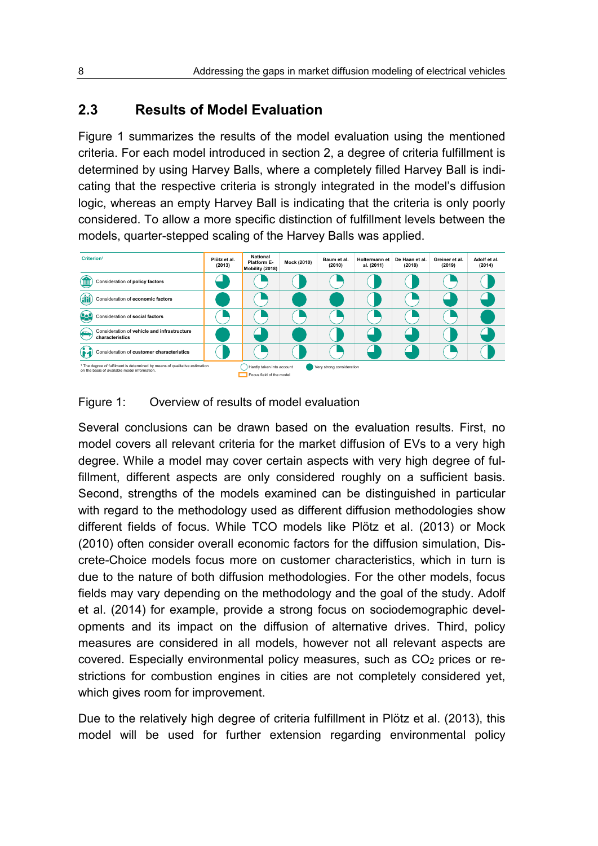## <span id="page-11-0"></span>**2.3 Results of Model Evaluation**

[Figure 1](#page-11-1) summarizes the results of the model evaluation using the mentioned criteria. For each model introduced in section 2, a degree of criteria fulfillment is determined by using Harvey Balls, where a completely filled Harvey Ball is indicating that the respective criteria is strongly integrated in the model's diffusion logic, whereas an empty Harvey Ball is indicating that the criteria is only poorly considered. To allow a more specific distinction of fulfillment levels between the models, quarter-stepped scaling of the Harvey Balls was applied.

| Criterion <sup>1</sup>                                                                                                                 | Plötz et al.<br>(2013) | <b>National</b><br>Platform E-<br>Mobility (2018)     | Mock (2010) | Baum et al.<br>(2010)     | Holtermann et<br>al. (2011) | De Haan et al.<br>(2018) | Greiner et al.<br>(2019) | Adolf et al.<br>(2014) |
|----------------------------------------------------------------------------------------------------------------------------------------|------------------------|-------------------------------------------------------|-------------|---------------------------|-----------------------------|--------------------------|--------------------------|------------------------|
| Consideration of policy factors<br>TIII                                                                                                |                        |                                                       |             |                           |                             |                          |                          |                        |
| Consideration of economic factors                                                                                                      |                        |                                                       |             |                           |                             |                          |                          |                        |
| Consideration of social factors                                                                                                        |                        |                                                       |             |                           |                             |                          |                          |                        |
| Consideration of vehicle and infrastructure<br>'en<br>characteristics                                                                  |                        |                                                       |             |                           |                             |                          |                          |                        |
| Consideration of customer characteristics                                                                                              |                        |                                                       |             |                           |                             |                          |                          |                        |
| <sup>1</sup> The degree of fulfilment is determined by means of qualitative estimation<br>on the basis of available model information. |                        | Hardly taken into account<br>Focus field of the model |             | Very strong consideration |                             |                          |                          |                        |

### <span id="page-11-1"></span>Figure 1: Overview of results of model evaluation

Several conclusions can be drawn based on the evaluation results. First, no model covers all relevant criteria for the market diffusion of EVs to a very high degree. While a model may cover certain aspects with very high degree of fulfillment, different aspects are only considered roughly on a sufficient basis. Second, strengths of the models examined can be distinguished in particular with regard to the methodology used as different diffusion methodologies show different fields of focus. While TCO models like Plötz et al. (2013) or Mock (2010) often consider overall economic factors for the diffusion simulation, Discrete-Choice models focus more on customer characteristics, which in turn is due to the nature of both diffusion methodologies. For the other models, focus fields may vary depending on the methodology and the goal of the study. Adolf et al. (2014) for example, provide a strong focus on sociodemographic developments and its impact on the diffusion of alternative drives. Third, policy measures are considered in all models, however not all relevant aspects are covered. Especially environmental policy measures, such as CO<sub>2</sub> prices or restrictions for combustion engines in cities are not completely considered yet, which gives room for improvement.

Due to the relatively high degree of criteria fulfillment in Plötz et al. (2013), this model will be used for further extension regarding environmental policy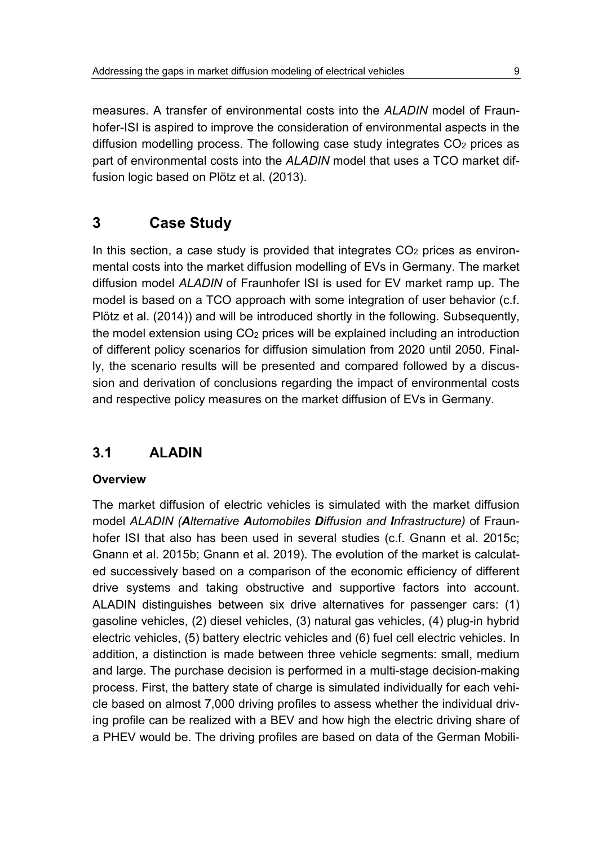measures. A transfer of environmental costs into the *ALADIN* model of Fraunhofer-ISI is aspired to improve the consideration of environmental aspects in the diffusion modelling process. The following case study integrates  $CO<sub>2</sub>$  prices as part of environmental costs into the *ALADIN* model that uses a TCO market diffusion logic based on Plötz et al. (2013).

## <span id="page-12-0"></span>**3 Case Study**

In this section, a case study is provided that integrates  $CO<sub>2</sub>$  prices as environmental costs into the market diffusion modelling of EVs in Germany. The market diffusion model *ALADIN* of Fraunhofer ISI is used for EV market ramp up. The model is based on a TCO approach with some integration of user behavior (c.f. Plötz et al. (2014)) and will be introduced shortly in the following. Subsequently, the model extension using CO2 prices will be explained including an introduction of different policy scenarios for diffusion simulation from 2020 until 2050. Finally, the scenario results will be presented and compared followed by a discussion and derivation of conclusions regarding the impact of environmental costs and respective policy measures on the market diffusion of EVs in Germany.

## <span id="page-12-1"></span>**3.1 ALADIN**

## **Overview**

The market diffusion of electric vehicles is simulated with the market diffusion model *ALADIN (Alternative Automobiles Diffusion and Infrastructure)* of Fraunhofer ISI that also has been used in several studies (c.f. Gnann et al. 2015c; Gnann et al. 2015b; Gnann et al. 2019). The evolution of the market is calculated successively based on a comparison of the economic efficiency of different drive systems and taking obstructive and supportive factors into account. ALADIN distinguishes between six drive alternatives for passenger cars: (1) gasoline vehicles, (2) diesel vehicles, (3) natural gas vehicles, (4) plug-in hybrid electric vehicles, (5) battery electric vehicles and (6) fuel cell electric vehicles. In addition, a distinction is made between three vehicle segments: small, medium and large. The purchase decision is performed in a multi-stage decision-making process. First, the battery state of charge is simulated individually for each vehicle based on almost 7,000 driving profiles to assess whether the individual driving profile can be realized with a BEV and how high the electric driving share of a PHEV would be. The driving profiles are based on data of the German Mobili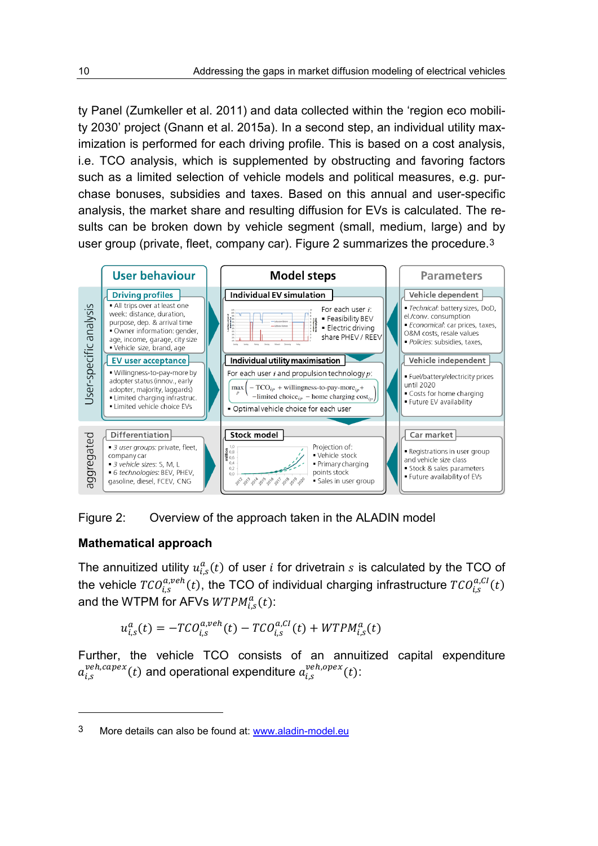ty Panel (Zumkeller et al. 2011) and data collected within the 'region eco mobility 2030' project (Gnann et al. 2015a). In a second step, an individual utility maximization is performed for each driving profile. This is based on a cost analysis, i.e. TCO analysis, which is supplemented by obstructing and favoring factors such as a limited selection of vehicle models and political measures, e.g. purchase bonuses, subsidies and taxes. Based on this annual and user-specific analysis, the market share and resulting diffusion for EVs is calculated. The results can be broken down by vehicle segment (small, medium, large) and by user group (private, fleet, company car). [Figure 2](#page-13-0) summarizes the procedure[.3](#page-13-1)



<span id="page-13-0"></span>Figure 2: Overview of the approach taken in the ALADIN model

## **Mathematical approach**

<u>.</u>

The annuitized utility  $u_{i,s}^a(t)$  of user *i* for drivetrain *s* is calculated by the TCO of the vehicle  $TCO_{i,s}^{a,veh}(t)$ , the TCO of individual charging infrastructure  $TCO_{i,s}^{a,Cl}(t)$ and the WTPM for AFVs  $WTPM^a_{i,s}(t)$ :

$$
u_{i,s}^a(t) = -TCO_{i,s}^{a,veh}(t) - TCO_{i,s}^{a,Cl}(t) + WTPM_{i,s}^a(t)
$$

Further, the vehicle TCO consists of an annuitized capital expenditure  $a_{i,s}^{veh,capex}(t)$  and operational expenditure  $a_{i,s}^{veh,opex}(t)$ :

<span id="page-13-1"></span><sup>3</sup> More details can also be found at: [www.aladin-model.eu](http://www.aladin-model.eu/)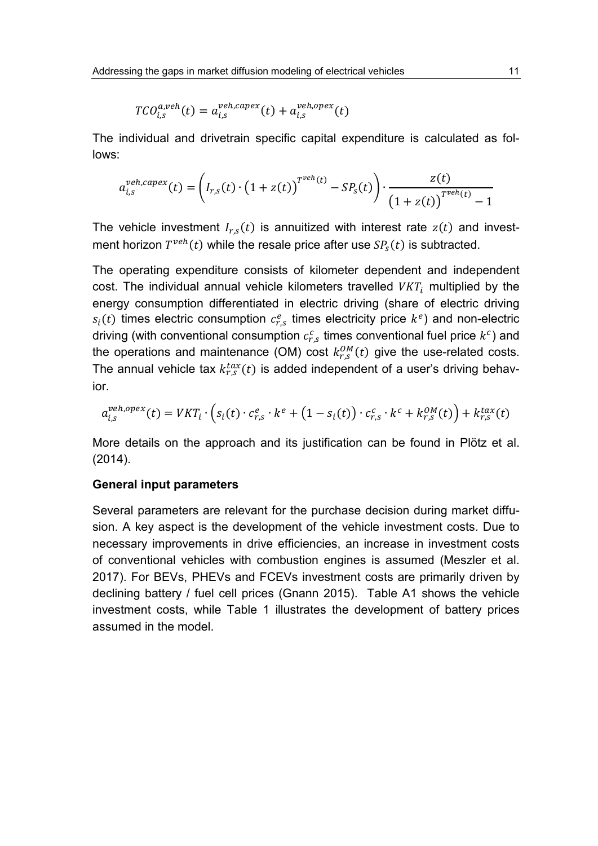$$
TCO_{i,s}^{a,veh}(t) = a_{i,s}^{veh, capex}(t) + a_{i,s}^{veh, opex}(t)
$$

The individual and drivetrain specific capital expenditure is calculated as follows:

$$
a_{i,s}^{veh, capex}(t) = \left(I_{r,s}(t) \cdot \left(1 + z(t)\right)^{T^{veh}(t)} - SP_s(t)\right) \cdot \frac{z(t)}{\left(1 + z(t)\right)^{T^{veh}(t)} - 1}
$$

The vehicle investment  $I_{r,s}(t)$  is annuitized with interest rate  $z(t)$  and investment horizon  $T^{veh}(t)$  while the resale price after use  $SP_s(t)$  is subtracted.

The operating expenditure consists of kilometer dependent and independent cost. The individual annual vehicle kilometers travelled  $VKT_i$  multiplied by the energy consumption differentiated in electric driving (share of electric driving  $s_i(t)$  times electric consumption  $c_{r,s}^e$  times electricity price  $k^e$ ) and non-electric driving (with conventional consumption  $c_{r,s}^c$  times conventional fuel price  $k^c$ ) and the operations and maintenance (OM) cost  $k_{r,s}^{OM}(t)$  give the use-related costs. The annual vehicle tax  $k_{r,s}^{tax}(t)$  is added independent of a user's driving behavior.

$$
a_{i,s}^{veh, opex}(t) = VKT_i \cdot \left(s_i(t) \cdot c_{r,s}^e \cdot k^e + (1 - s_i(t)) \cdot c_{r,s}^c \cdot k^c + k_{r,s}^{OM}(t)\right) + k_{r,s}^{tax}(t)
$$

More details on the approach and its justification can be found in Plötz et al. (2014).

#### **General input parameters**

Several parameters are relevant for the purchase decision during market diffusion. A key aspect is the development of the vehicle investment costs. Due to necessary improvements in drive efficiencies, an increase in investment costs of conventional vehicles with combustion engines is assumed (Meszler et al. 2017). For BEVs, PHEVs and FCEVs investment costs are primarily driven by declining battery / fuel cell prices (Gnann 2015). Table A1 shows the vehicle investment costs, while [Table 1](#page-15-1) illustrates the development of battery prices assumed in the model.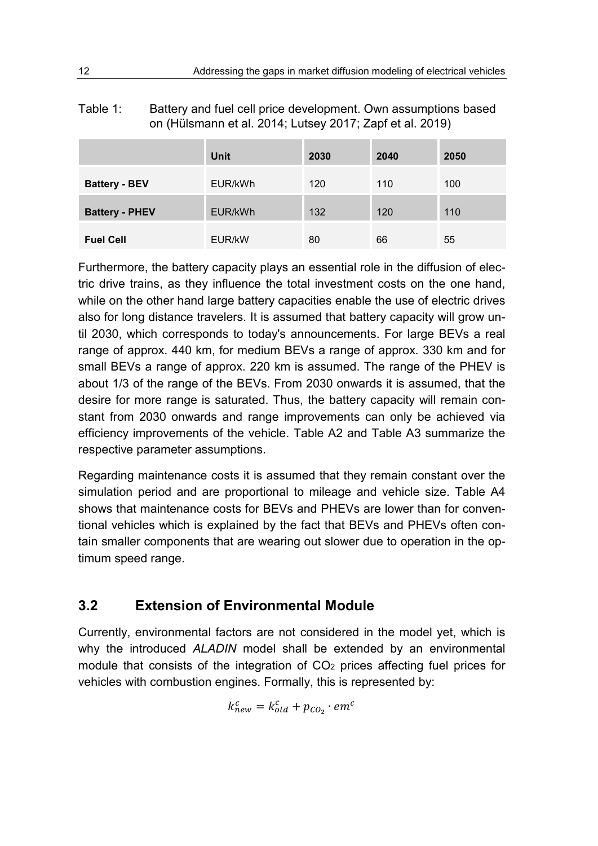## <span id="page-15-1"></span>Table 1: Battery and fuel cell price development. Own assumptions based on (Hülsmann et al. 2014; Lutsey 2017; Zapf et al. 2019)

|                       | <b>Unit</b> | 2030 | 2040 | 2050 |
|-----------------------|-------------|------|------|------|
| <b>Battery - BEV</b>  | EUR/kWh     | 120  | 110  | 100  |
| <b>Battery - PHEV</b> | EUR/kWh     | 132  | 120  | 110  |
| <b>Fuel Cell</b>      | EUR/kW      | 80   | 66   | 55   |

Furthermore, the battery capacity plays an essential role in the diffusion of electric drive trains, as they influence the total investment costs on the one hand, while on the other hand large battery capacities enable the use of electric drives also for long distance travelers. It is assumed that battery capacity will grow until 2030, which corresponds to today's announcements. For large BEVs a real range of approx. 440 km, for medium BEVs a range of approx. 330 km and for small BEVs a range of approx. 220 km is assumed. The range of the PHEV is about 1/3 of the range of the BEVs. From 2030 onwards it is assumed, that the desire for more range is saturated. Thus, the battery capacity will remain constant from 2030 onwards and range improvements can only be achieved via efficiency improvements of the vehicle. Table A2 and [Table A3](#page-26-1) summarize the respective parameter assumptions.

Regarding maintenance costs it is assumed that they remain constant over the simulation period and are proportional to mileage and vehicle size. [Table A4](#page-27-0) shows that maintenance costs for BEVs and PHEVs are lower than for conventional vehicles which is explained by the fact that BEVs and PHEVs often contain smaller components that are wearing out slower due to operation in the optimum speed range.

## <span id="page-15-0"></span>**3.2 Extension of Environmental Module**

Currently, environmental factors are not considered in the model yet, which is why the introduced *ALADIN* model shall be extended by an environmental module that consists of the integration of  $CO<sub>2</sub>$  prices affecting fuel prices for vehicles with combustion engines. Formally, this is represented by:

 $k_{new}^c = k_{old}^c + p_{CO_2} \cdot em^c$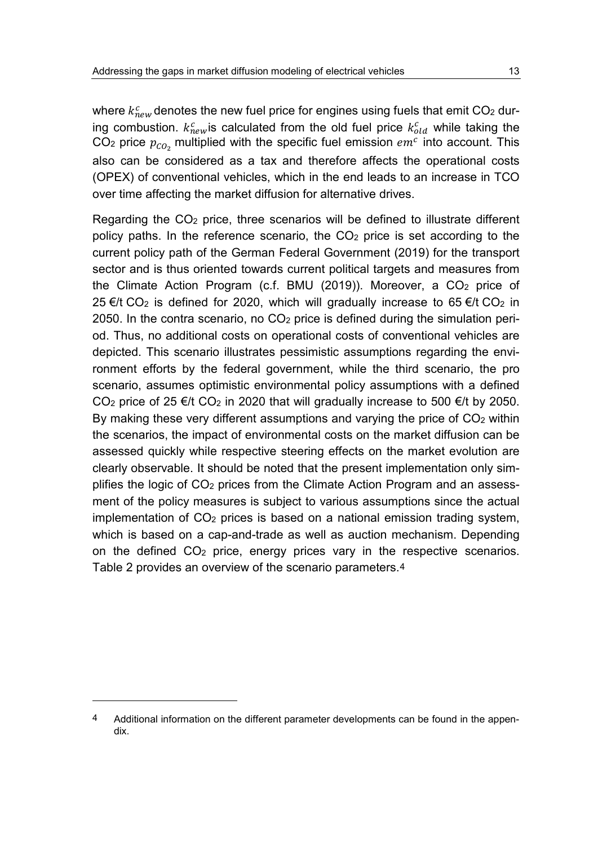where  $k_{new}^{c}$  denotes the new fuel price for engines using fuels that emit CO<sub>2</sub> during combustion.  $k_{new}^c$ is calculated from the old fuel price  $k_{old}^c$  while taking the CO<sub>2</sub> price  $p_{CO_2}$  multiplied with the specific fuel emission  $em^c$  into account. This also can be considered as a tax and therefore affects the operational costs (OPEX) of conventional vehicles, which in the end leads to an increase in TCO over time affecting the market diffusion for alternative drives.

Regarding the CO2 price, three scenarios will be defined to illustrate different policy paths. In the reference scenario, the  $CO<sub>2</sub>$  price is set according to the current policy path of the German Federal Government (2019) for the transport sector and is thus oriented towards current political targets and measures from the Climate Action Program (c.f. BMU (2019)). Moreover, a CO2 price of 25 €/t CO<sub>2</sub> is defined for 2020, which will gradually increase to 65 €/t CO<sub>2</sub> in 2050. In the contra scenario, no CO2 price is defined during the simulation period. Thus, no additional costs on operational costs of conventional vehicles are depicted. This scenario illustrates pessimistic assumptions regarding the environment efforts by the federal government, while the third scenario, the pro scenario, assumes optimistic environmental policy assumptions with a defined CO<sub>2</sub> price of 25  $\epsilon/t$  CO<sub>2</sub> in 2020 that will gradually increase to 500  $\epsilon/t$  by 2050. By making these very different assumptions and varying the price of  $CO<sub>2</sub>$  within the scenarios, the impact of environmental costs on the market diffusion can be assessed quickly while respective steering effects on the market evolution are clearly observable. It should be noted that the present implementation only simplifies the logic of CO2 prices from the Climate Action Program and an assessment of the policy measures is subject to various assumptions since the actual implementation of  $CO<sub>2</sub>$  prices is based on a national emission trading system, which is based on a cap-and-trade as well as auction mechanism. Depending on the defined CO2 price, energy prices vary in the respective scenarios. [Table](#page-17-0) 2 provides an overview of the scenario parameters.[4](#page-16-0)

 $\overline{a}$ 

<span id="page-16-0"></span><sup>4</sup> Additional information on the different parameter developments can be found in the appendix.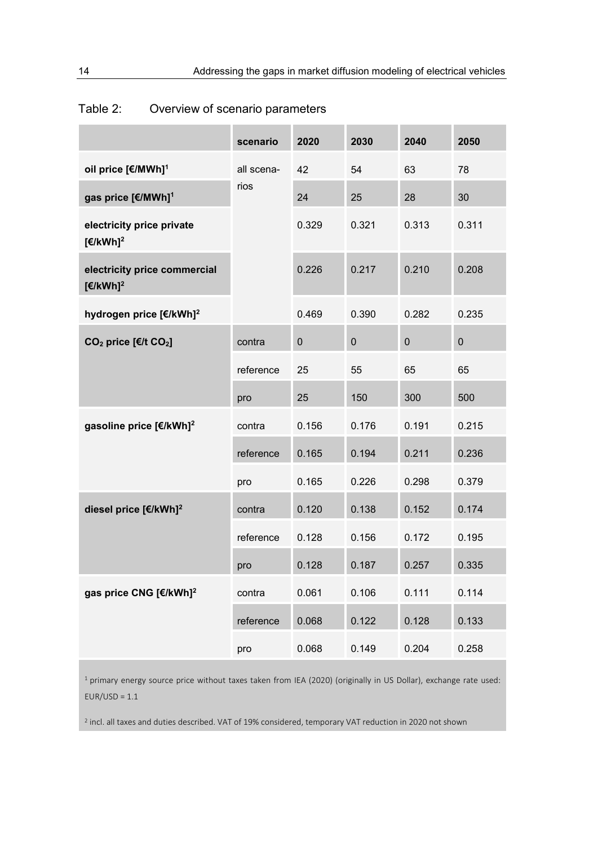|                                                      | scenario   | 2020      | 2030      | 2040      | 2050      |
|------------------------------------------------------|------------|-----------|-----------|-----------|-----------|
| oil price [€/MWh] <sup>1</sup>                       | all scena- | 42        | 54        | 63        | 78        |
| gas price [€/MWh] <sup>1</sup>                       | rios       | 24        | 25        | 28        | 30        |
| electricity price private<br>[€/kWh] <sup>2</sup>    |            | 0.329     | 0.321     | 0.313     | 0.311     |
| electricity price commercial<br>[€/kWh] <sup>2</sup> |            | 0.226     | 0.217     | 0.210     | 0.208     |
| hydrogen price [€/kWh] <sup>2</sup>                  |            | 0.469     | 0.390     | 0.282     | 0.235     |
| CO <sub>2</sub> price [€/t CO <sub>2</sub> ]         | contra     | $\pmb{0}$ | $\pmb{0}$ | $\pmb{0}$ | $\pmb{0}$ |
|                                                      | reference  | 25        | 55        | 65        | 65        |
|                                                      | pro        | 25        | 150       | 300       | 500       |
| gasoline price [€/kWh] <sup>2</sup>                  | contra     | 0.156     | 0.176     | 0.191     | 0.215     |
|                                                      | reference  | 0.165     | 0.194     | 0.211     | 0.236     |
|                                                      | pro        | 0.165     | 0.226     | 0.298     | 0.379     |
| diesel price [€/kWh] <sup>2</sup>                    | contra     | 0.120     | 0.138     | 0.152     | 0.174     |
|                                                      | reference  | 0.128     | 0.156     | 0.172     | 0.195     |
|                                                      | pro        | 0.128     | 0.187     | 0.257     | 0.335     |
| gas price CNG [€/kWh] <sup>2</sup>                   | contra     | 0.061     | 0.106     | 0.111     | 0.114     |
|                                                      | reference  | 0.068     | 0.122     | 0.128     | 0.133     |
|                                                      | pro        | 0.068     | 0.149     | 0.204     | 0.258     |

<span id="page-17-0"></span>Table 2: Overview of scenario parameters

1 primary energy source price without taxes taken from IEA (2020) (originally in US Dollar), exchange rate used:  $EUR/USD = 1.1$ 

<sup>2</sup> incl. all taxes and duties described. VAT of 19% considered, temporary VAT reduction in 2020 not shown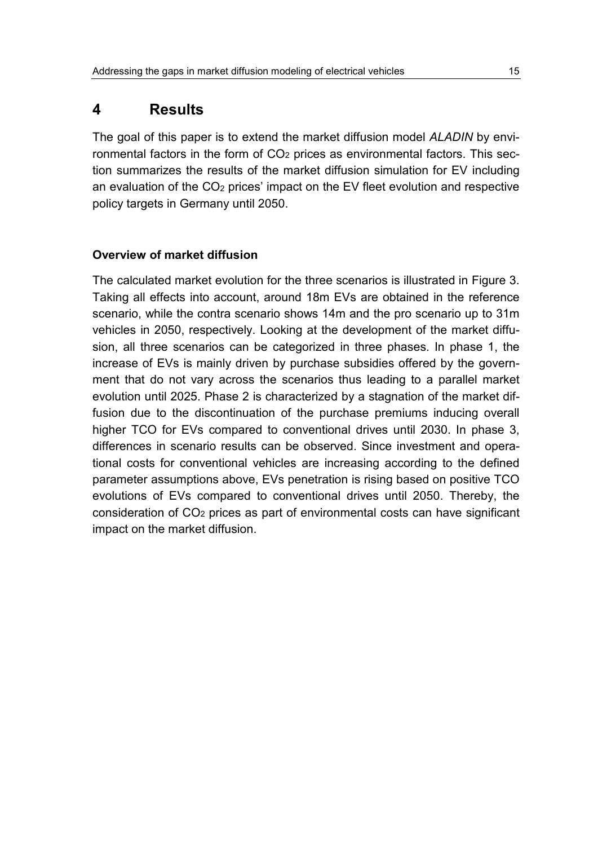## <span id="page-18-0"></span>**4 Results**

The goal of this paper is to extend the market diffusion model *ALADIN* by environmental factors in the form of  $CO<sub>2</sub>$  prices as environmental factors. This section summarizes the results of the market diffusion simulation for EV including an evaluation of the  $CO<sub>2</sub>$  prices' impact on the EV fleet evolution and respective policy targets in Germany until 2050.

### **Overview of market diffusion**

The calculated market evolution for the three scenarios is illustrated in [Figure 3.](#page-19-0) Taking all effects into account, around 18m EVs are obtained in the reference scenario, while the contra scenario shows 14m and the pro scenario up to 31m vehicles in 2050, respectively. Looking at the development of the market diffusion, all three scenarios can be categorized in three phases. In phase 1, the increase of EVs is mainly driven by purchase subsidies offered by the government that do not vary across the scenarios thus leading to a parallel market evolution until 2025. Phase 2 is characterized by a stagnation of the market diffusion due to the discontinuation of the purchase premiums inducing overall higher TCO for EVs compared to conventional drives until 2030. In phase 3, differences in scenario results can be observed. Since investment and operational costs for conventional vehicles are increasing according to the defined parameter assumptions above, EVs penetration is rising based on positive TCO evolutions of EVs compared to conventional drives until 2050. Thereby, the consideration of CO2 prices as part of environmental costs can have significant impact on the market diffusion.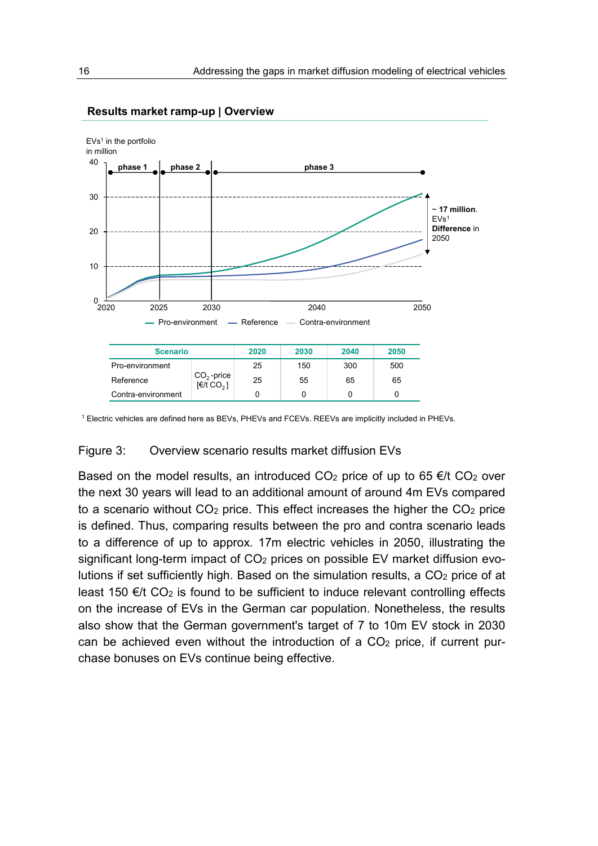

#### **Results market ramp-up | Overview**

#### Figure 3: Overview scenario results market diffusion EVs

Based on the model results, an introduced  $CO<sub>2</sub>$  price of up to 65  $\epsilon/t$  CO<sub>2</sub> over the next 30 years will lead to an additional amount of around 4m EVs compared to a scenario without  $CO<sub>2</sub>$  price. This effect increases the higher the  $CO<sub>2</sub>$  price is defined. Thus, comparing results between the pro and contra scenario leads to a difference of up to approx. 17m electric vehicles in 2050, illustrating the significant long-term impact of CO<sub>2</sub> prices on possible EV market diffusion evolutions if set sufficiently high. Based on the simulation results, a CO2 price of at least 150  $\epsilon/t$  CO<sub>2</sub> is found to be sufficient to induce relevant controlling effects on the increase of EVs in the German car population. Nonetheless, the results also show that the German government's target of 7 to 10m EV stock in 2030 can be achieved even without the introduction of a  $CO<sub>2</sub>$  price, if current purchase bonuses on EVs continue being effective.

<span id="page-19-0"></span><sup>1</sup> Electric vehicles are defined here as BEVs, PHEVs and FCEVs. REEVs are implicitly included in PHEVs.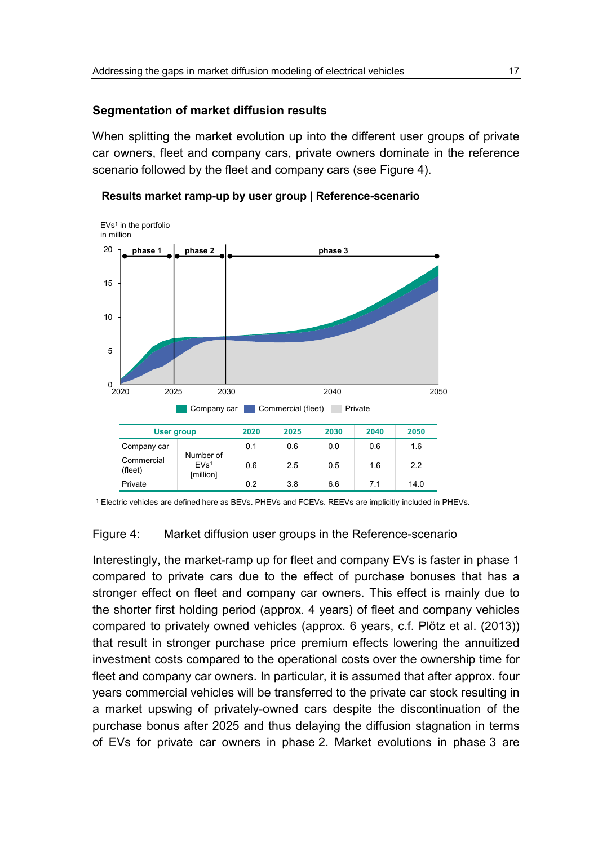#### **Segmentation of market diffusion results**

When splitting the market evolution up into the different user groups of private car owners, fleet and company cars, private owners dominate in the reference scenario followed by the fleet and company cars (see [Figure 4\)](#page-20-0).





#### Figure 4: Market diffusion user groups in the Reference-scenario

Interestingly, the market-ramp up for fleet and company EVs is faster in phase 1 compared to private cars due to the effect of purchase bonuses that has a stronger effect on fleet and company car owners. This effect is mainly due to the shorter first holding period (approx. 4 years) of fleet and company vehicles compared to privately owned vehicles (approx. 6 years, c.f. Plötz et al. (2013)) that result in stronger purchase price premium effects lowering the annuitized investment costs compared to the operational costs over the ownership time for fleet and company car owners. In particular, it is assumed that after approx. four years commercial vehicles will be transferred to the private car stock resulting in a market upswing of privately-owned cars despite the discontinuation of the purchase bonus after 2025 and thus delaying the diffusion stagnation in terms of EVs for private car owners in phase 2. Market evolutions in phase 3 are

<span id="page-20-0"></span><sup>1</sup> Electric vehicles are defined here as BEVs. PHEVs and FCEVs. REEVs are implicitly included in PHEVs.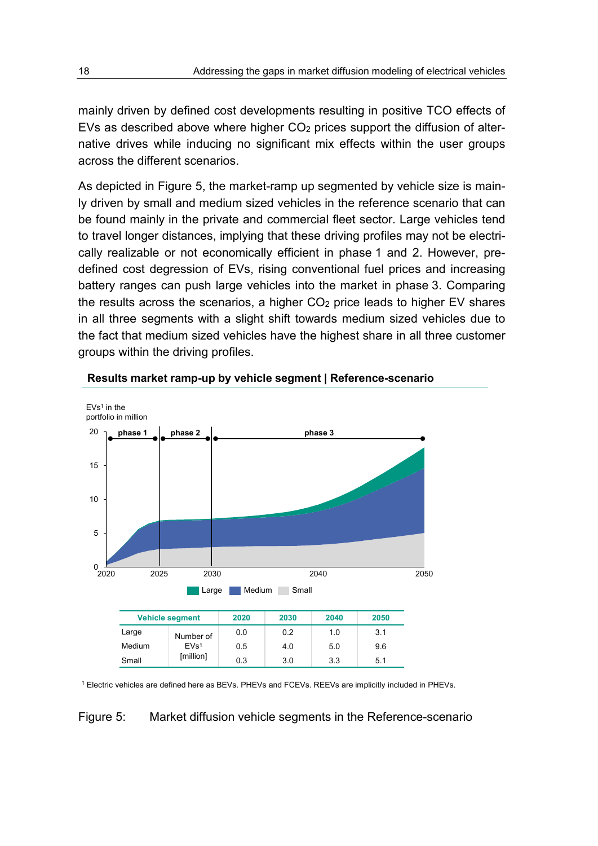mainly driven by defined cost developments resulting in positive TCO effects of EVs as described above where higher  $CO<sub>2</sub>$  prices support the diffusion of alternative drives while inducing no significant mix effects within the user groups across the different scenarios.

As depicted in [Figure 5,](#page-21-0) the market-ramp up segmented by vehicle size is mainly driven by small and medium sized vehicles in the reference scenario that can be found mainly in the private and commercial fleet sector. Large vehicles tend to travel longer distances, implying that these driving profiles may not be electrically realizable or not economically efficient in phase 1 and 2. However, predefined cost degression of EVs, rising conventional fuel prices and increasing battery ranges can push large vehicles into the market in phase 3. Comparing the results across the scenarios, a higher  $CO<sub>2</sub>$  price leads to higher EV shares in all three segments with a slight shift towards medium sized vehicles due to the fact that medium sized vehicles have the highest share in all three customer groups within the driving profiles.



#### **Results market ramp-up by vehicle segment | Reference-scenario**

<span id="page-21-0"></span><sup>1</sup> Electric vehicles are defined here as BEVs. PHEVs and FCEVs. REEVs are implicitly included in PHEVs.

Figure 5: Market diffusion vehicle segments in the Reference-scenario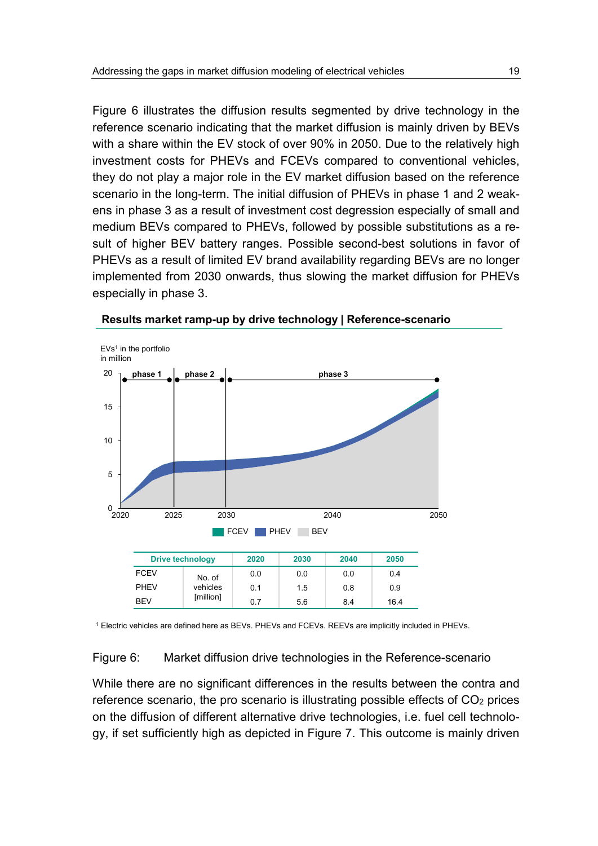[Figure 6](#page-22-0) illustrates the diffusion results segmented by drive technology in the reference scenario indicating that the market diffusion is mainly driven by BEVs with a share within the EV stock of over 90% in 2050. Due to the relatively high investment costs for PHEVs and FCEVs compared to conventional vehicles, they do not play a major role in the EV market diffusion based on the reference scenario in the long-term. The initial diffusion of PHEVs in phase 1 and 2 weakens in phase 3 as a result of investment cost degression especially of small and medium BEVs compared to PHEVs, followed by possible substitutions as a result of higher BEV battery ranges. Possible second-best solutions in favor of PHEVs as a result of limited EV brand availability regarding BEVs are no longer implemented from 2030 onwards, thus slowing the market diffusion for PHEVs especially in phase 3.



**Results market ramp-up by drive technology | Reference-scenario**

<span id="page-22-0"></span><sup>1</sup> Electric vehicles are defined here as BEVs. PHEVs and FCEVs. REEVs are implicitly included in PHEVs.

Figure 6: Market diffusion drive technologies in the Reference-scenario

While there are no significant differences in the results between the contra and reference scenario, the pro scenario is illustrating possible effects of  $CO<sub>2</sub>$  prices on the diffusion of different alternative drive technologies, i.e. fuel cell technology, if set sufficiently high as depicted in [Figure 7.](#page-23-0) This outcome is mainly driven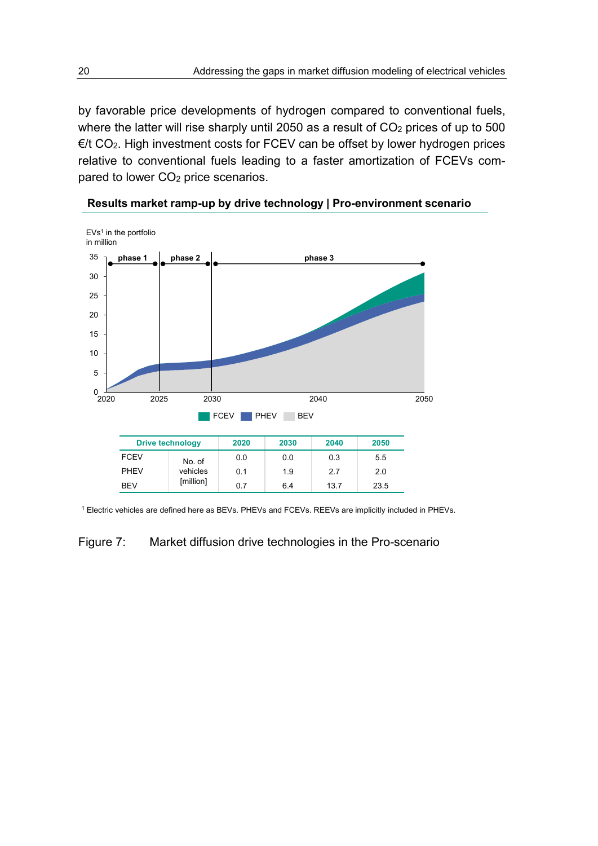by favorable price developments of hydrogen compared to conventional fuels, where the latter will rise sharply until 2050 as a result of CO<sub>2</sub> prices of up to 500  $E/t$  CO<sub>2</sub>. High investment costs for FCEV can be offset by lower hydrogen prices relative to conventional fuels leading to a faster amortization of FCEVs compared to lower CO<sub>2</sub> price scenarios.



**Results market ramp-up by drive technology | Pro-environment scenario**

<span id="page-23-0"></span><sup>1</sup> Electric vehicles are defined here as BEVs. PHEVs and FCEVs. REEVs are implicitly included in PHEVs.

### Figure 7: Market diffusion drive technologies in the Pro-scenario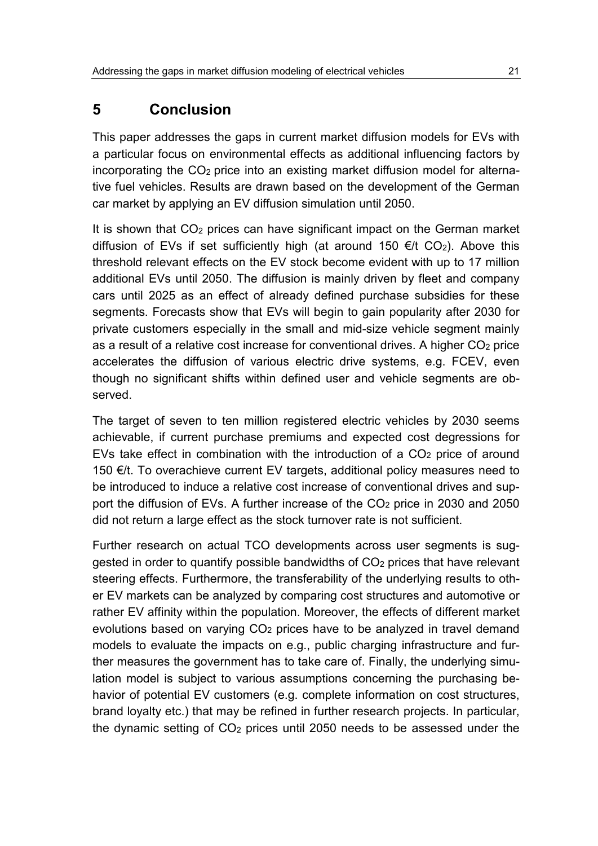# <span id="page-24-0"></span>**5 Conclusion**

This paper addresses the gaps in current market diffusion models for EVs with a particular focus on environmental effects as additional influencing factors by incorporating the CO2 price into an existing market diffusion model for alternative fuel vehicles. Results are drawn based on the development of the German car market by applying an EV diffusion simulation until 2050.

It is shown that  $CO<sub>2</sub>$  prices can have significant impact on the German market diffusion of EVs if set sufficiently high (at around 150  $\epsilon/t$  CO<sub>2</sub>). Above this threshold relevant effects on the EV stock become evident with up to 17 million additional EVs until 2050. The diffusion is mainly driven by fleet and company cars until 2025 as an effect of already defined purchase subsidies for these segments. Forecasts show that EVs will begin to gain popularity after 2030 for private customers especially in the small and mid-size vehicle segment mainly as a result of a relative cost increase for conventional drives. A higher CO<sub>2</sub> price accelerates the diffusion of various electric drive systems, e.g. FCEV, even though no significant shifts within defined user and vehicle segments are observed.

The target of seven to ten million registered electric vehicles by 2030 seems achievable, if current purchase premiums and expected cost degressions for EVs take effect in combination with the introduction of a  $CO<sub>2</sub>$  price of around 150 €/t. To overachieve current EV targets, additional policy measures need to be introduced to induce a relative cost increase of conventional drives and support the diffusion of EVs. A further increase of the CO2 price in 2030 and 2050 did not return a large effect as the stock turnover rate is not sufficient.

Further research on actual TCO developments across user segments is suggested in order to quantify possible bandwidths of CO2 prices that have relevant steering effects. Furthermore, the transferability of the underlying results to other EV markets can be analyzed by comparing cost structures and automotive or rather EV affinity within the population. Moreover, the effects of different market evolutions based on varying CO2 prices have to be analyzed in travel demand models to evaluate the impacts on e.g., public charging infrastructure and further measures the government has to take care of. Finally, the underlying simulation model is subject to various assumptions concerning the purchasing behavior of potential EV customers (e.g. complete information on cost structures, brand loyalty etc.) that may be refined in further research projects. In particular, the dynamic setting of CO2 prices until 2050 needs to be assessed under the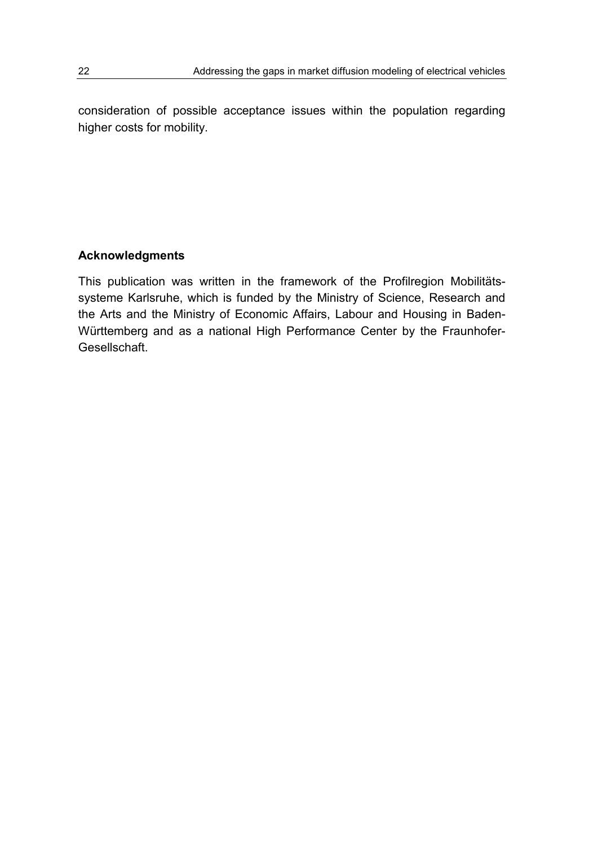consideration of possible acceptance issues within the population regarding higher costs for mobility.

### **Acknowledgments**

This publication was written in the framework of the Profilregion Mobilitätssysteme Karlsruhe, which is funded by the Ministry of Science, Research and the Arts and the Ministry of Economic Affairs, Labour and Housing in Baden-Württemberg and as a national High Performance Center by the Fraunhofer-Gesellschaft.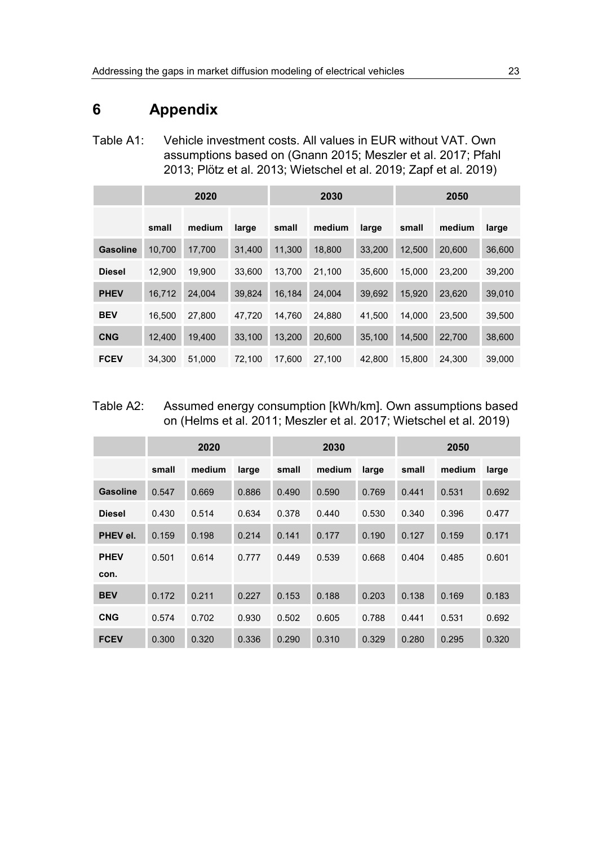# <span id="page-26-0"></span>**6 Appendix**

Table A1: Vehicle investment costs. All values in EUR without VAT. Own assumptions based on (Gnann 2015; Meszler et al. 2017; Pfahl 2013; Plötz et al. 2013; Wietschel et al. 2019; Zapf et al. 2019)

|                 | 2020   |        |        | 2030   |        |        | 2050   |        |        |
|-----------------|--------|--------|--------|--------|--------|--------|--------|--------|--------|
|                 | small  | medium | large  | small  | medium | large  | small  | medium | large  |
| <b>Gasoline</b> | 10,700 | 17,700 | 31,400 | 11,300 | 18,800 | 33,200 | 12,500 | 20,600 | 36,600 |
| <b>Diesel</b>   | 12,900 | 19.900 | 33,600 | 13,700 | 21,100 | 35,600 | 15,000 | 23,200 | 39,200 |
| <b>PHEV</b>     | 16,712 | 24,004 | 39,824 | 16,184 | 24,004 | 39,692 | 15,920 | 23,620 | 39,010 |
| <b>BEV</b>      | 16,500 | 27,800 | 47,720 | 14,760 | 24,880 | 41,500 | 14,000 | 23,500 | 39,500 |
| <b>CNG</b>      | 12,400 | 19,400 | 33,100 | 13,200 | 20,600 | 35,100 | 14,500 | 22,700 | 38,600 |
| <b>FCEV</b>     | 34,300 | 51,000 | 72,100 | 17,600 | 27,100 | 42,800 | 15,800 | 24,300 | 39,000 |

### Table A2: Assumed energy consumption [kWh/km]. Own assumptions based on (Helms et al. 2011; Meszler et al. 2017; Wietschel et al. 2019)

<span id="page-26-1"></span>

|                     | 2020  |        |       | 2030  |        |       | 2050  |        |       |
|---------------------|-------|--------|-------|-------|--------|-------|-------|--------|-------|
|                     | small | medium | large | small | medium | large | small | medium | large |
| <b>Gasoline</b>     | 0.547 | 0.669  | 0.886 | 0.490 | 0.590  | 0.769 | 0.441 | 0.531  | 0.692 |
| <b>Diesel</b>       | 0.430 | 0.514  | 0.634 | 0.378 | 0.440  | 0.530 | 0.340 | 0.396  | 0.477 |
| PHEV el.            | 0.159 | 0.198  | 0.214 | 0.141 | 0.177  | 0.190 | 0.127 | 0.159  | 0.171 |
| <b>PHEV</b><br>con. | 0.501 | 0.614  | 0.777 | 0.449 | 0.539  | 0.668 | 0.404 | 0.485  | 0.601 |
| <b>BEV</b>          | 0.172 | 0.211  | 0.227 | 0.153 | 0.188  | 0.203 | 0.138 | 0.169  | 0.183 |
| <b>CNG</b>          | 0.574 | 0.702  | 0.930 | 0.502 | 0.605  | 0.788 | 0.441 | 0.531  | 0.692 |
| <b>FCEV</b>         | 0.300 | 0.320  | 0.336 | 0.290 | 0.310  | 0.329 | 0.280 | 0.295  | 0.320 |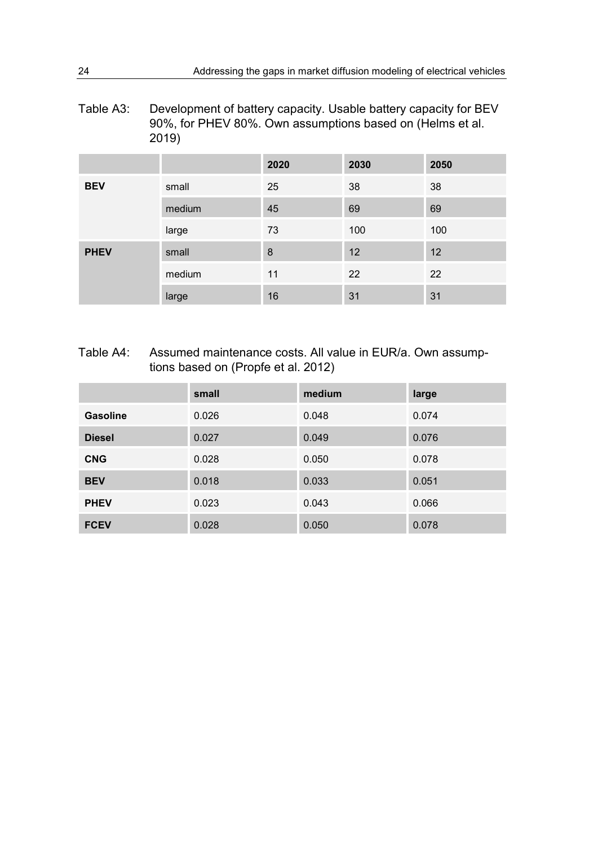Table A3: Development of battery capacity. Usable battery capacity for BEV 90%, for PHEV 80%. Own assumptions based on (Helms et al. 2019)

|             |        | 2020 | 2030 | 2050 |
|-------------|--------|------|------|------|
| <b>BEV</b>  | small  | 25   | 38   | 38   |
|             | medium | 45   | 69   | 69   |
|             | large  | 73   | 100  | 100  |
| <b>PHEV</b> | small  | 8    | 12   | 12   |
|             | medium | 11   | 22   | 22   |
|             | large  | 16   | 31   | 31   |

<span id="page-27-0"></span>Table A4: Assumed maintenance costs. All value in EUR/a. Own assumptions based on (Propfe et al. 2012)

|                 | small | medium | large |
|-----------------|-------|--------|-------|
| <b>Gasoline</b> | 0.026 | 0.048  | 0.074 |
| <b>Diesel</b>   | 0.027 | 0.049  | 0.076 |
| <b>CNG</b>      | 0.028 | 0.050  | 0.078 |
| <b>BEV</b>      | 0.018 | 0.033  | 0.051 |
| <b>PHEV</b>     | 0.023 | 0.043  | 0.066 |
| <b>FCEV</b>     | 0.028 | 0.050  | 0.078 |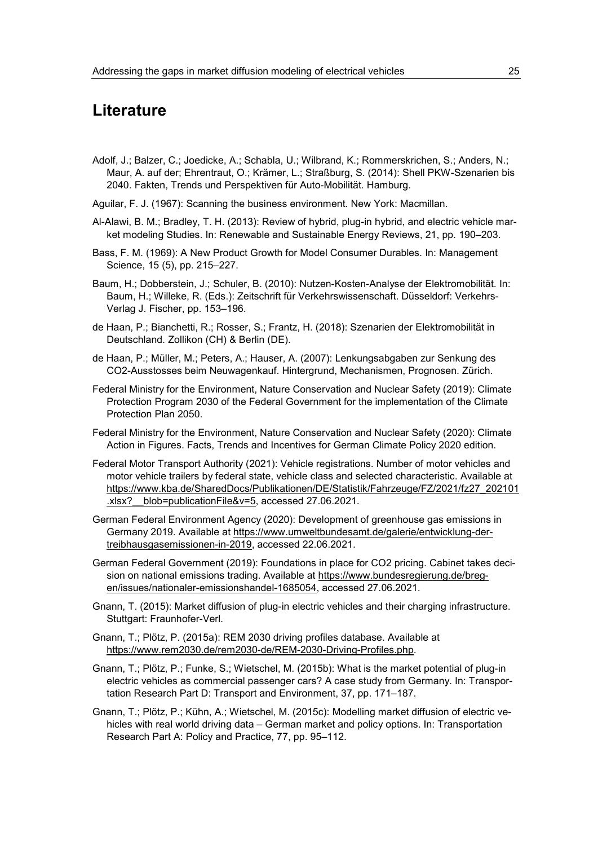## <span id="page-28-0"></span>**Literature**

- Adolf, J.; Balzer, C.; Joedicke, A.; Schabla, U.; Wilbrand, K.; Rommerskrichen, S.; Anders, N.; Maur, A. auf der; Ehrentraut, O.; Krämer, L.; Straßburg, S. (2014): Shell PKW-Szenarien bis 2040. Fakten, Trends und Perspektiven für Auto-Mobilität. Hamburg.
- Aguilar, F. J. (1967): Scanning the business environment. New York: Macmillan.
- Al-Alawi, B. M.; Bradley, T. H. (2013): Review of hybrid, plug-in hybrid, and electric vehicle market modeling Studies. In: Renewable and Sustainable Energy Reviews, 21, pp. 190–203.
- Bass, F. M. (1969): A New Product Growth for Model Consumer Durables. In: Management Science, 15 (5), pp. 215–227.
- Baum, H.; Dobberstein, J.; Schuler, B. (2010): Nutzen-Kosten-Analyse der Elektromobilität. In: Baum, H.; Willeke, R. (Eds.): Zeitschrift für Verkehrswissenschaft. Düsseldorf: Verkehrs-Verlag J. Fischer, pp. 153–196.
- de Haan, P.; Bianchetti, R.; Rosser, S.; Frantz, H. (2018): Szenarien der Elektromobilität in Deutschland. Zollikon (CH) & Berlin (DE).
- de Haan, P.; Müller, M.; Peters, A.; Hauser, A. (2007): Lenkungsabgaben zur Senkung des CO2-Ausstosses beim Neuwagenkauf. Hintergrund, Mechanismen, Prognosen. Zürich.
- Federal Ministry for the Environment, Nature Conservation and Nuclear Safety (2019): Climate Protection Program 2030 of the Federal Government for the implementation of the Climate Protection Plan 2050.
- Federal Ministry for the Environment, Nature Conservation and Nuclear Safety (2020): Climate Action in Figures. Facts, Trends and Incentives for German Climate Policy 2020 edition.
- Federal Motor Transport Authority (2021): Vehicle registrations. Number of motor vehicles and motor vehicle trailers by federal state, vehicle class and selected characteristic. Available at https://www.kba.de/SharedDocs/Publikationen/DE/Statistik/Fahrzeuge/FZ/2021/fz27\_202101 .xlsx?\_\_blob=publicationFile&v=5, accessed 27.06.2021.
- German Federal Environment Agency (2020): Development of greenhouse gas emissions in Germany 2019. Available at https://www.umweltbundesamt.de/galerie/entwicklung-dertreibhausgasemissionen-in-2019, accessed 22.06.2021.
- German Federal Government (2019): Foundations in place for CO2 pricing. Cabinet takes decision on national emissions trading. Available at https://www.bundesregierung.de/bregen/issues/nationaler-emissionshandel-1685054, accessed 27.06.2021.
- Gnann, T. (2015): Market diffusion of plug-in electric vehicles and their charging infrastructure. Stuttgart: Fraunhofer-Verl.
- Gnann, T.; Plötz, P. (2015a): REM 2030 driving profiles database. Available at https://www.rem2030.de/rem2030-de/REM-2030-Driving-Profiles.php.
- Gnann, T.; Plötz, P.; Funke, S.; Wietschel, M. (2015b): What is the market potential of plug-in electric vehicles as commercial passenger cars? A case study from Germany. In: Transportation Research Part D: Transport and Environment, 37, pp. 171–187.
- Gnann, T.; Plötz, P.; Kühn, A.; Wietschel, M. (2015c): Modelling market diffusion of electric vehicles with real world driving data – German market and policy options. In: Transportation Research Part A: Policy and Practice, 77, pp. 95–112.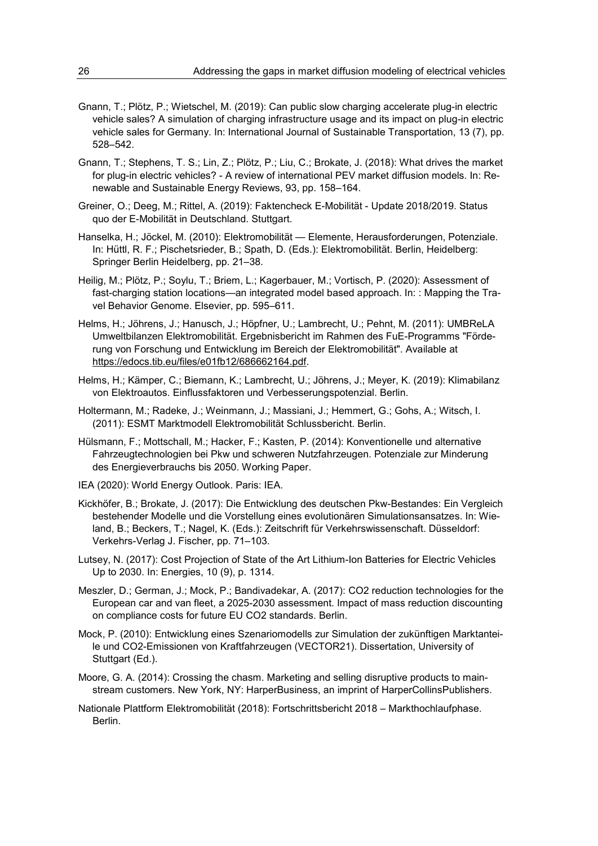- Gnann, T.; Plötz, P.; Wietschel, M. (2019): Can public slow charging accelerate plug-in electric vehicle sales? A simulation of charging infrastructure usage and its impact on plug-in electric vehicle sales for Germany. In: International Journal of Sustainable Transportation, 13 (7), pp. 528–542.
- Gnann, T.; Stephens, T. S.; Lin, Z.; Plötz, P.; Liu, C.; Brokate, J. (2018): What drives the market for plug-in electric vehicles? - A review of international PEV market diffusion models. In: Renewable and Sustainable Energy Reviews, 93, pp. 158–164.
- Greiner, O.; Deeg, M.; Rittel, A. (2019): Faktencheck E-Mobilität Update 2018/2019. Status quo der E-Mobilität in Deutschland. Stuttgart.
- Hanselka, H.; Jöckel, M. (2010): Elektromobilität Elemente, Herausforderungen, Potenziale. In: Hüttl, R. F.; Pischetsrieder, B.; Spath, D. (Eds.): Elektromobilität. Berlin, Heidelberg: Springer Berlin Heidelberg, pp. 21–38.
- Heilig, M.; Plötz, P.; Soylu, T.; Briem, L.; Kagerbauer, M.; Vortisch, P. (2020): Assessment of fast-charging station locations—an integrated model based approach. In: : Mapping the Travel Behavior Genome. Elsevier, pp. 595–611.
- Helms, H.; Jöhrens, J.; Hanusch, J.; Höpfner, U.; Lambrecht, U.; Pehnt, M. (2011): UMBReLA Umweltbilanzen Elektromobilität. Ergebnisbericht im Rahmen des FuE-Programms "Förderung von Forschung und Entwicklung im Bereich der Elektromobilität". Available at https://edocs.tib.eu/files/e01fb12/686662164.pdf.
- Helms, H.; Kämper, C.; Biemann, K.; Lambrecht, U.; Jöhrens, J.; Meyer, K. (2019): Klimabilanz von Elektroautos. Einflussfaktoren und Verbesserungspotenzial. Berlin.
- Holtermann, M.; Radeke, J.; Weinmann, J.; Massiani, J.; Hemmert, G.; Gohs, A.; Witsch, I. (2011): ESMT Marktmodell Elektromobilität Schlussbericht. Berlin.
- Hülsmann, F.; Mottschall, M.; Hacker, F.; Kasten, P. (2014): Konventionelle und alternative Fahrzeugtechnologien bei Pkw und schweren Nutzfahrzeugen. Potenziale zur Minderung des Energieverbrauchs bis 2050. Working Paper.
- IEA (2020): World Energy Outlook. Paris: IEA.
- Kickhöfer, B.; Brokate, J. (2017): Die Entwicklung des deutschen Pkw-Bestandes: Ein Vergleich bestehender Modelle und die Vorstellung eines evolutionären Simulationsansatzes. In: Wieland, B.; Beckers, T.; Nagel, K. (Eds.): Zeitschrift für Verkehrswissenschaft. Düsseldorf: Verkehrs-Verlag J. Fischer, pp. 71–103.
- Lutsey, N. (2017): Cost Projection of State of the Art Lithium-Ion Batteries for Electric Vehicles Up to 2030. In: Energies, 10 (9), p. 1314.
- Meszler, D.; German, J.; Mock, P.; Bandivadekar, A. (2017): CO2 reduction technologies for the European car and van fleet, a 2025-2030 assessment. Impact of mass reduction discounting on compliance costs for future EU CO2 standards. Berlin.
- Mock, P. (2010): Entwicklung eines Szenariomodells zur Simulation der zukünftigen Marktanteile und CO2-Emissionen von Kraftfahrzeugen (VECTOR21). Dissertation, University of Stuttgart (Ed.).
- Moore, G. A. (2014): Crossing the chasm. Marketing and selling disruptive products to mainstream customers. New York, NY: HarperBusiness, an imprint of HarperCollinsPublishers.
- Nationale Plattform Elektromobilität (2018): Fortschrittsbericht 2018 Markthochlaufphase. Berlin.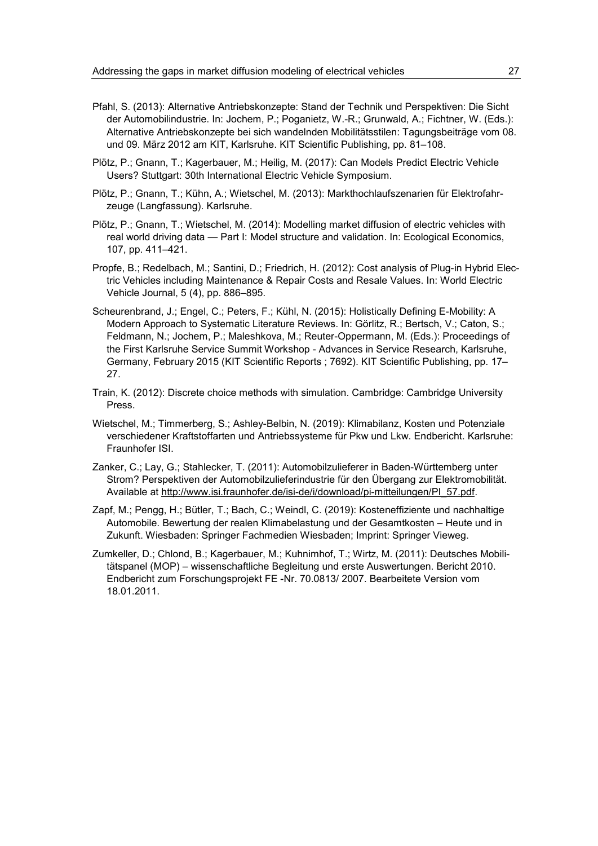- Pfahl, S. (2013): Alternative Antriebskonzepte: Stand der Technik und Perspektiven: Die Sicht der Automobilindustrie. In: Jochem, P.; Poganietz, W.-R.; Grunwald, A.; Fichtner, W. (Eds.): Alternative Antriebskonzepte bei sich wandelnden Mobilitätsstilen: Tagungsbeiträge vom 08. und 09. März 2012 am KIT, Karlsruhe. KIT Scientific Publishing, pp. 81–108.
- Plötz, P.; Gnann, T.; Kagerbauer, M.; Heilig, M. (2017): Can Models Predict Electric Vehicle Users? Stuttgart: 30th International Electric Vehicle Symposium.
- Plötz, P.; Gnann, T.; Kühn, A.; Wietschel, M. (2013): Markthochlaufszenarien für Elektrofahrzeuge (Langfassung). Karlsruhe.
- Plötz, P.; Gnann, T.; Wietschel, M. (2014): Modelling market diffusion of electric vehicles with real world driving data — Part I: Model structure and validation. In: Ecological Economics, 107, pp. 411–421.
- Propfe, B.; Redelbach, M.; Santini, D.; Friedrich, H. (2012): Cost analysis of Plug-in Hybrid Electric Vehicles including Maintenance & Repair Costs and Resale Values. In: World Electric Vehicle Journal, 5 (4), pp. 886–895.
- Scheurenbrand, J.; Engel, C.; Peters, F.; Kühl, N. (2015): Holistically Defining E-Mobility: A Modern Approach to Systematic Literature Reviews. In: Görlitz, R.; Bertsch, V.; Caton, S.; Feldmann, N.; Jochem, P.; Maleshkova, M.; Reuter-Oppermann, M. (Eds.): Proceedings of the First Karlsruhe Service Summit Workshop - Advances in Service Research, Karlsruhe, Germany, February 2015 (KIT Scientific Reports ; 7692). KIT Scientific Publishing, pp. 17– 27.
- Train, K. (2012): Discrete choice methods with simulation. Cambridge: Cambridge University Press.
- Wietschel, M.; Timmerberg, S.; Ashley-Belbin, N. (2019): Klimabilanz, Kosten und Potenziale verschiedener Kraftstoffarten und Antriebssysteme für Pkw und Lkw. Endbericht. Karlsruhe: Fraunhofer ISI.
- Zanker, C.; Lay, G.; Stahlecker, T. (2011): Automobilzulieferer in Baden-Württemberg unter Strom? Perspektiven der Automobilzulieferindustrie für den Übergang zur Elektromobilität. Available at http://www.isi.fraunhofer.de/isi-de/i/download/pi-mitteilungen/PI\_57.pdf.
- Zapf, M.; Pengg, H.; Bütler, T.; Bach, C.; Weindl, C. (2019): Kosteneffiziente und nachhaltige Automobile. Bewertung der realen Klimabelastung und der Gesamtkosten – Heute und in Zukunft. Wiesbaden: Springer Fachmedien Wiesbaden; Imprint: Springer Vieweg.
- Zumkeller, D.; Chlond, B.; Kagerbauer, M.; Kuhnimhof, T.; Wirtz, M. (2011): Deutsches Mobilitätspanel (MOP) – wissenschaftliche Begleitung und erste Auswertungen. Bericht 2010. Endbericht zum Forschungsprojekt FE -Nr. 70.0813/ 2007. Bearbeitete Version vom 18.01.2011.